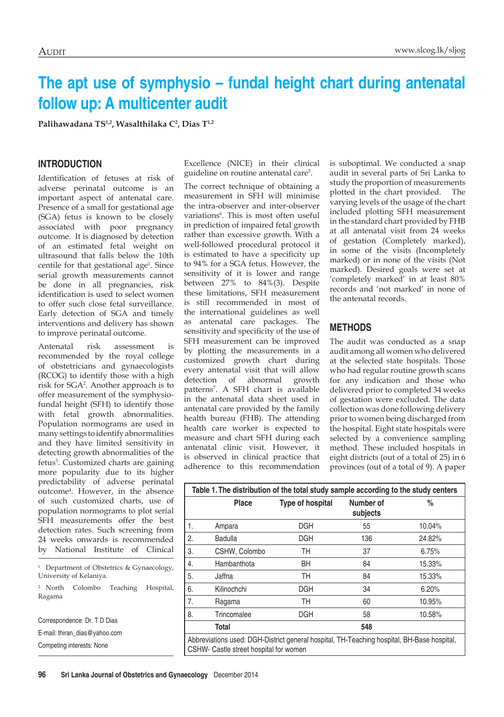# **The apt use of symphysio – fundal height chart during antenatal follow up: A multicenter audit**

**Palihawadana TS1,2, Wasalthilaka C2 , Dias T1,2**

#### **Introduction**

Identification of fetuses at risk of adverse perinatal outcome is an important aspect of antenatal care. Presence of a small for gestational age (SGA) fetus is known to be closely associated with poor pregnancy outcome. It is diagnosed by detection of an estimated fetal weight on ultrasound that falls below the 10th centile for that gestational age<sup>1</sup>. Since serial growth measurements cannot be done in all pregnancies, risk identification is used to select women to offer such close fetal surveillance. Early detection of SGA and timely interventions and delivery has shown to improve perinatal outcome.

Antenatal risk assessment is recommended by the royal college of obstetricians and gynaecologists (RCOG) to identify those with a high risk for SGA2 . Another approach is to offer measurement of the symphysiofundal height (SFH) to identify those with fetal growth abnormalities. Population normograms are used in many settings to identify abnormalities and they have limited sensitivity in detecting growth abnormalities of the fetus<sup>3</sup>. Customized charts are gaining more popularity due to its higher predictability of adverse perinatal outcome4 . However, in the absence of such customized charts, use of population normograms to plot serial SFH measurements offer the best detection rates. Such screening from 24 weeks onwards is recommended by National Institute of Clinical

<sup>1</sup> Department of Obstetrics & Gynaecology, University of Kelaniya.

<sup>2</sup> North Colombo Teaching Hospital, Ragama

Correspondence: Dr. T D Dias E-mail: thiran\_dias@yahoo.com Competing interests: None

Excellence (NICE) in their clinical guideline on routine antenatal care<sup>5</sup>.

The correct technique of obtaining a measurement in SFH will minimise the intra-observer and inter-observer variations<sup>6</sup>. This is most often useful in prediction of impaired fetal growth rather than excessive growth. With a well-followed procedural protocol it is estimated to have a specificity up to 94% for a SGA fetus. However, the sensitivity of it is lower and range between 27% to 84%(3). Despite these limitations, SFH measurement is still recommended in most of the international guidelines as well as antenatal care packages. The sensitivity and specificity of the use of SFH measurement can be improved by plotting the measurements in a customized growth chart during every antenatal visit that will allow detection of abnormal growth patterns7 . A SFH chart is available in the antenatal data sheet used in antenatal care provided by the family health bureau (FHB). The attending health care worker is expected to measure and chart SFH during each antenatal clinic visit. However, it is observed in clinical practice that adherence to this recommendation

is suboptimal. We conducted a snap audit in several parts of Sri Lanka to study the proportion of measurements plotted in the chart provided. The varying levels of the usage of the chart included plotting SFH measurement in the standard chart provided by FHB at all antenatal visit from 24 weeks of gestation (Completely marked), in some of the visits (Incompletely marked) or in none of the visits (Not marked). Desired goals were set at 'completely marked' in at least 80% records and 'not marked' in none of the antenatal records.

### **Methods**

The audit was conducted as a snap audit among all women who delivered at the selected state hospitals. Those who had regular routine growth scans for any indication and those who delivered prior to completed 34 weeks of gestation were excluded. The data collection was done following delivery prior to women being discharged from the hospital. Eight state hospitals were selected by a convenience sampling method. These included hospitals in eight districts (out of a total of 25) in 6 provinces (out of a total of 9). A paper

|    | <b>Place</b>                                                                                                                         | <b>Type of hospital</b> | Number of<br>subjects | %      |
|----|--------------------------------------------------------------------------------------------------------------------------------------|-------------------------|-----------------------|--------|
| 1. | Ampara                                                                                                                               | <b>DGH</b>              | 55                    | 10.04% |
| 2. | Badulla                                                                                                                              | <b>DGH</b>              | 136                   | 24.82% |
| 3. | CSHW, Colombo                                                                                                                        | TH                      | 37                    | 6.75%  |
| 4. | Hambanthota                                                                                                                          | <b>BH</b>               | 84                    | 15.33% |
| 5. | Jaffna                                                                                                                               | TН                      | 84                    | 15.33% |
| 6. | Kilinochchi                                                                                                                          | <b>DGH</b>              | 34                    | 6.20%  |
| 7. | Ragama                                                                                                                               | TH                      | 60                    | 10.95% |
| 8. | Trincomalee                                                                                                                          | <b>DGH</b>              | 58                    | 10.58% |
|    | Total                                                                                                                                |                         | 548                   |        |
|    | Abbreviations used: DGH-District general hospital, TH-Teaching hospital, BH-Base hospital,<br>CSHW- Castle street hospital for women |                         |                       |        |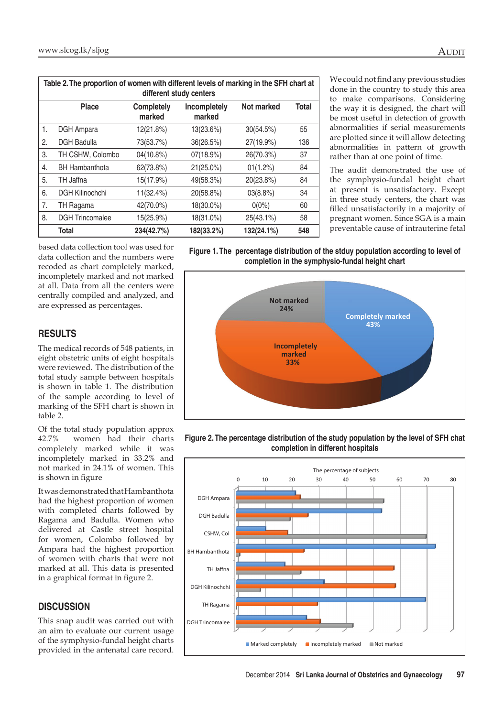| Table 2. The proportion of women with different levels of marking in the SFH chart at<br>different study centers |                        |                      |                        |             |              |  |  |  |
|------------------------------------------------------------------------------------------------------------------|------------------------|----------------------|------------------------|-------------|--------------|--|--|--|
|                                                                                                                  | Place                  | Completely<br>marked | Incompletely<br>marked | Not marked  | <b>Total</b> |  |  |  |
| 1.                                                                                                               | <b>DGH</b> Ampara      | 12(21.8%)            | 13(23.6%)              | 30(54.5%)   | 55           |  |  |  |
| 2.                                                                                                               | <b>DGH Badulla</b>     | 73(53.7%)            | 36(26.5%)              | 27(19.9%)   | 136          |  |  |  |
| 3.                                                                                                               | TH CSHW, Colombo       | 04(10.8%)            | 07(18.9%)              | 26(70.3%)   | 37           |  |  |  |
| 4.                                                                                                               | <b>BH Hambanthota</b>  | 62(73.8%)            | 21(25.0%)              | $01(1.2\%)$ | 84           |  |  |  |
| 5.                                                                                                               | TH Jaffna              | 15(17.9%)            | 49(58.3%)              | 20(23.8%)   | 84           |  |  |  |
| 6.                                                                                                               | <b>DGH Kilinochchi</b> | $11(32.4\%)$         | 20(58.8%)              | $03(8.8\%)$ | 34           |  |  |  |
| 7.                                                                                                               | TH Ragama              | 42(70.0%)            | 18(30.0%)              | $0(0\%)$    | 60           |  |  |  |
| 8.                                                                                                               | <b>DGH Trincomalee</b> | 15(25.9%)            | 18(31.0%)              | 25(43.1%)   | 58           |  |  |  |
|                                                                                                                  | Total                  | 234(42.7%)           | 182(33.2%)             | 132(24.1%)  | 548          |  |  |  |

We could not find any previous studies done in the country to study this area to make comparisons. Considering the way it is designed, the chart will be most useful in detection of growth abnormalities if serial measurements are plotted since it will allow detecting abnormalities in pattern of growth rather than at one point of time.

The audit demonstrated the use of the symphysio-fundal height chart at present is unsatisfactory. Except in three study centers, the chart was filled unsatisfactorily in a majority of pregnant women. Since SGA is a main preventable cause of intrauterine fetal

based data collection tool was used for data collection and the numbers were recoded as chart completely marked, incompletely marked and not marked at all. Data from all the centers were centrally compiled and analyzed, and are expressed as percentages.

# **Results**

The medical records of 548 patients, in eight obstetric units of eight hospitals were reviewed. The distribution of the total study sample between hospitals is shown in table 1. The distribution of the sample according to level of marking of the SFH chart is shown in table 2.

Of the total study population approx 42.7% women had their charts completely marked while it was incompletely marked in 33.2% and not marked in 24.1% of women. This is shown in figure

It was demonstrated that Hambanthota had the highest proportion of women with completed charts followed by Ragama and Badulla. Women who delivered at Castle street hospital for women, Colombo followed by Ampara had the highest proportion of women with charts that were not marked at all. This data is presented in a graphical format in figure 2.

# **DISCUSSION**

This snap audit was carried out with an aim to evaluate our current usage of the symphysio-fundal height charts provided in the antenatal care record.